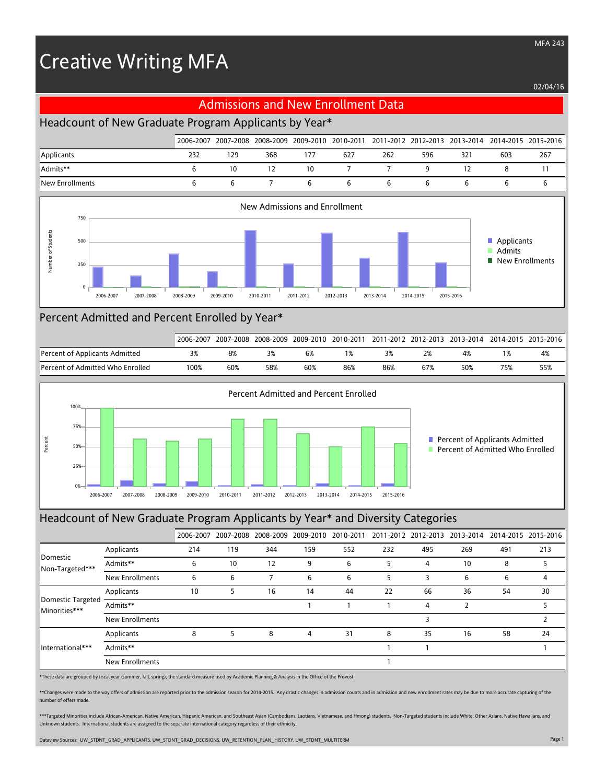# Creative Writing MFA

02/04/16

## Admissions and New Enrollment Data

## Headcount of New Graduate Program Applicants by Year\*

|                 |     |     |     |     |     |     |     |     |     | 2006-2007 2007-2008 2008-2009 2009-2010 2010-2011 2011-2012 2012-2013 2013-2014 2014-2015 2015-2016 |
|-----------------|-----|-----|-----|-----|-----|-----|-----|-----|-----|-----------------------------------------------------------------------------------------------------|
| Applicants      | 232 | 129 | 368 | 177 | 627 | 262 | 596 | 321 | 603 | 267                                                                                                 |
| Admits**        |     | 10  | 12  | 10  |     |     |     |     |     |                                                                                                     |
| New Enrollments |     |     |     |     |     |     |     |     |     |                                                                                                     |



### Percent Admitted and Percent Enrolled by Year\*

|                                     | 2006-2007 |     | 2007-2008 2008-2009 2009-2010 |     | 2010-2011 |     |     |     |     | 2011-2012 2012-2013 2013-2014 2014-2015 2015-2016 |
|-------------------------------------|-----------|-----|-------------------------------|-----|-----------|-----|-----|-----|-----|---------------------------------------------------|
| Percent of Applicants Admitted      |           | 8%  |                               | 6%  |           |     |     | 4%  |     | 4%                                                |
| Percent of Admitted Who Enrolled !! | 100%      | 60% | 58%                           | 60% | 86%       | 86% | 67% | 50% | 75% | 55%                                               |



#### Headcount of New Graduate Program Applicants by Year\* and Diversity Categories

|                                           |                        | 2006-2007 |     |     |     |     |     |     | 2007-2008 2008-2009 2009-2010 2010-2011 2011-2012 2012-2013 2013-2014 2014-2015 2015-2016 |     |     |
|-------------------------------------------|------------------------|-----------|-----|-----|-----|-----|-----|-----|-------------------------------------------------------------------------------------------|-----|-----|
| Domestic<br>Non-Targeted***               | Applicants             | 214       | 119 | 344 | 159 | 552 | 232 | 495 | 269                                                                                       | 491 | 213 |
|                                           | Admits**               | 6         | 10  | 12  | 9   | 6   |     | 4   | 10                                                                                        | 8   |     |
|                                           | <b>New Enrollments</b> | 6         | 6   |     | 6   | 6   | 5   | 3   | 6                                                                                         | 6   | 4   |
|                                           | Applicants             | 10        | 5   | 16  | 14  | 44  | 22  | 66  | 36                                                                                        | 54  | 30  |
| <b>Domestic Targeted</b><br>Minorities*** | Admits**               |           |     |     |     |     |     | 4   |                                                                                           |     |     |
|                                           | <b>New Enrollments</b> |           |     |     |     |     |     |     |                                                                                           |     |     |
| International***                          | Applicants             | 8         | 5   | 8   | 4   | 31  | 8   | 35  | 16                                                                                        | 58  | 24  |
|                                           | Admits**               |           |     |     |     |     |     |     |                                                                                           |     |     |
|                                           | New Enrollments        |           |     |     |     |     |     |     |                                                                                           |     |     |

\*These data are grouped by fiscal year (summer, fall, spring), the standard measure used by Academic Planning & Analysis in the Office of the Provost.

\*\*Changes were made to the way offers of admission are reported prior to the admission season for 2014-2015. Any drastic changes in admission counts and in admission and new enrollment rates may be due to more accurate cap number of offers made.

\*\*\*Targeted Minorities include African-American, Native American, Hispanic American, and Southeast Asian (Cambodians, Laotians, Vietnamese, and Hmong) students. Non-Targeted students include White, Other Asians, Native Haw Unknown students. International students are assigned to the separate international category regardless of their ethnicity.

Dataview Sources: UW\_STDNT\_GRAD\_APPLICANTS, UW\_STDNT\_GRAD\_DECISIONS, UW\_RETENTION\_PLAN\_HISTORY, UW\_STDNT\_MULTITERM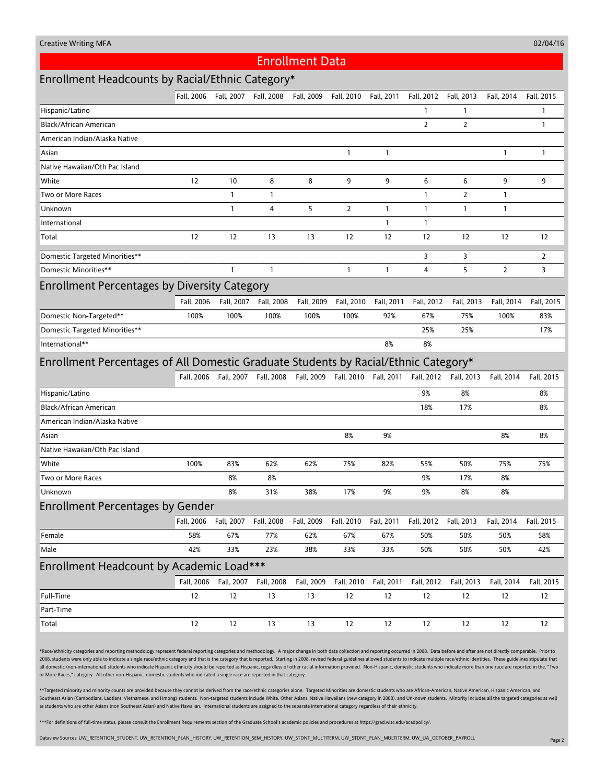#### Enrollment Data

## Enrollment Headcounts by Racial/Ethnic Category\*

|                                                                                     | Fall, 2006 | Fall, 2007   | Fall, 2008   | Fall, 2009 | Fall, 2010   | Fall, 2011   | Fall, 2012     | Fall, 2013     | Fall, 2014     | Fall, 2015     |  |  |
|-------------------------------------------------------------------------------------|------------|--------------|--------------|------------|--------------|--------------|----------------|----------------|----------------|----------------|--|--|
| Hispanic/Latino                                                                     |            |              |              |            |              |              | 1              | $\mathbf{1}$   |                | $\mathbf{1}$   |  |  |
| Black/African American                                                              |            |              |              |            |              |              | $\overline{2}$ | $\overline{2}$ |                | $\mathbf{1}$   |  |  |
| American Indian/Alaska Native                                                       |            |              |              |            |              |              |                |                |                |                |  |  |
| Asian                                                                               |            |              |              |            | $\mathbf{1}$ | $\mathbf{1}$ |                |                | $\mathbf{1}$   | $\mathbf{1}$   |  |  |
| Native Hawaiian/Oth Pac Island                                                      |            |              |              |            |              |              |                |                |                |                |  |  |
| White                                                                               | 12         | 10           | 8            | 8          | 9            | 9            | 6              | 6              | 9              | 9              |  |  |
| Two or More Races                                                                   |            | 1            | $\mathbf{1}$ |            |              |              | $\mathbf{1}$   | 2              | 1              |                |  |  |
| Unknown                                                                             |            | $\mathbf{1}$ | 4            | 5          | 2            | $\mathbf{1}$ | $\mathbf{1}$   | $\mathbf{1}$   | 1              |                |  |  |
| International                                                                       |            |              |              |            |              | $\mathbf{1}$ | 1              |                |                |                |  |  |
| Total                                                                               | 12         | 12           | 13           | 13         | 12           | 12           | 12             | 12             | 12             | 12             |  |  |
| Domestic Targeted Minorities**                                                      |            |              |              |            |              |              | 3              | 3              |                | $\overline{2}$ |  |  |
| Domestic Minorities**                                                               |            | $\mathbf{1}$ | $\mathbf{1}$ |            | $\mathbf{1}$ | $\mathbf{1}$ | 4              | 5              | $\overline{2}$ | 3              |  |  |
| <b>Enrollment Percentages by Diversity Category</b>                                 |            |              |              |            |              |              |                |                |                |                |  |  |
|                                                                                     | Fall. 2006 | Fall, 2007   | Fall, 2008   | Fall, 2009 | Fall, 2010   | Fall, 2011   | Fall, 2012     | Fall, 2013     | Fall, 2014     | Fall, 2015     |  |  |
| Domestic Non-Targeted**                                                             | 100%       | 100%         | 100%         | 100%       | 100%         | 92%          | 67%            | 75%            | 100%           | 83%            |  |  |
| Domestic Targeted Minorities**                                                      |            |              |              |            |              |              | 25%            | 25%            |                | 17%            |  |  |
| International**                                                                     |            |              |              |            |              | 8%           | 8%             |                |                |                |  |  |
| Enrollment Percentages of All Domestic Graduate Students by Racial/Ethnic Category* |            |              |              |            |              |              |                |                |                |                |  |  |
|                                                                                     | Fall, 2006 | Fall, 2007   | Fall, 2008   | Fall, 2009 | Fall, 2010   | Fall, 2011   | Fall, 2012     | Fall, 2013     | Fall, 2014     | Fall, 2015     |  |  |
| Hispanic/Latino                                                                     |            |              |              |            |              |              | 9%             | 8%             |                | 8%             |  |  |
| Black/African American                                                              |            |              |              |            |              |              | 18%            | 17%            |                | 8%             |  |  |
| American Indian/Alaska Native                                                       |            |              |              |            |              |              |                |                |                |                |  |  |
| Asian                                                                               |            |              |              |            | 8%           | 9%           |                |                | 8%             | 8%             |  |  |
| Native Hawaiian/Oth Pac Island                                                      |            |              |              |            |              |              |                |                |                |                |  |  |
| White                                                                               | 100%       | 83%          | 62%          | 62%        | 75%          | 82%          | 55%            | 50%            | 75%            | 75%            |  |  |
| Two or More Races                                                                   |            | 8%           | 8%           |            |              |              | 9%             | 17%            | 8%             |                |  |  |
| Unknown                                                                             |            | 8%           | 31%          | 38%        | 17%          | 9%           | 9%             | 8%             | 8%             |                |  |  |
| <b>Enrollment Percentages by Gender</b>                                             |            |              |              |            |              |              |                |                |                |                |  |  |
|                                                                                     | Fall, 2006 | Fall, 2007   | Fall, 2008   | Fall, 2009 | Fall, 2010   | Fall, 2011   | Fall, 2012     | Fall, 2013     | Fall, 2014     | Fall, 2015     |  |  |
| Female                                                                              | 58%        | 67%          | 77%          | 62%        | 67%          | 67%          | 50%            | 50%            | 50%            | 58%            |  |  |
| Male                                                                                | 42%        | 33%          | 23%          | 38%        | 33%          | 33%          | 50%            | 50%            | 50%            | 42%            |  |  |
| Enrollment Headcount by Academic Load***                                            |            |              |              |            |              |              |                |                |                |                |  |  |
|                                                                                     | Fall, 2006 | Fall, 2007   | Fall, 2008   | Fall, 2009 | Fall, 2010   | Fall, 2011   | Fall, 2012     | Fall, 2013     | Fall, 2014     | Fall, 2015     |  |  |
| Full-Time                                                                           | 12         | $12\,$       | $13$         | 13         | 12           | $12\,$       | 12             | 12             | 12             | 12             |  |  |
| Part-Time                                                                           |            |              |              |            |              |              |                |                |                |                |  |  |
| Total                                                                               | 12         | 12           | 13           | 13         | 12           | 12           | 12             | 12             | 12             | 12             |  |  |

\*Race/ethnicity categories and reporting methodology represent federal reporting categories and methodology. A major change in both data collection and reporting occurred in 2008. Data before and after are not directly com 2008, students were only able to indicate a single race/ethnic category and that is the category that is reported. Starting in 2008, revised federal guidelines allowed students to indicate multiple race/ethnic identities. all domestic (non-international) students who indicate Hispanic ethnicity should be reported as Hispanic, regardless of other racial information provided. Non-Hispanic, domestic students who indicate more than one race are or More Races," category. All other non-Hispanic, domestic students who indicated a single race are reported in that category.

\*\*Targeted minority and minority counts are provided because they cannot be derived from the race/ethnic categories alone. Targeted Minorities are domestic students who are African-American, Native American, Hispanic Ameri Southeast Asian (Cambodians, Laotians, Vietnamese, and Hmong) students. Non-targeted students include White, Other Asians, Native Hawaiians (new category in 2008), and Unknown students. Minority includes all the targeted c as students who are other Asians (non Southeast Asian) and Native Hawaiian. International students are assigned to the separate international category regardless of their ethnicity.

\*\*\*For definitions of full-time status, please consult the Enrollment Requirements section of the Graduate School's academic policies and procedures at https://grad.wisc.edu/acadpolicy/.

Dataview Sources: UW\_RETENTION\_STUDENT, UW\_RETENTION\_PLAN\_HISTORY, UW\_RETENTION\_SEM\_HISTORY, UW\_STDNT\_MULTITERM, UW\_STDNT\_PLAN\_MULTITERM, UW\_UA\_OCTOBER\_PAYROLL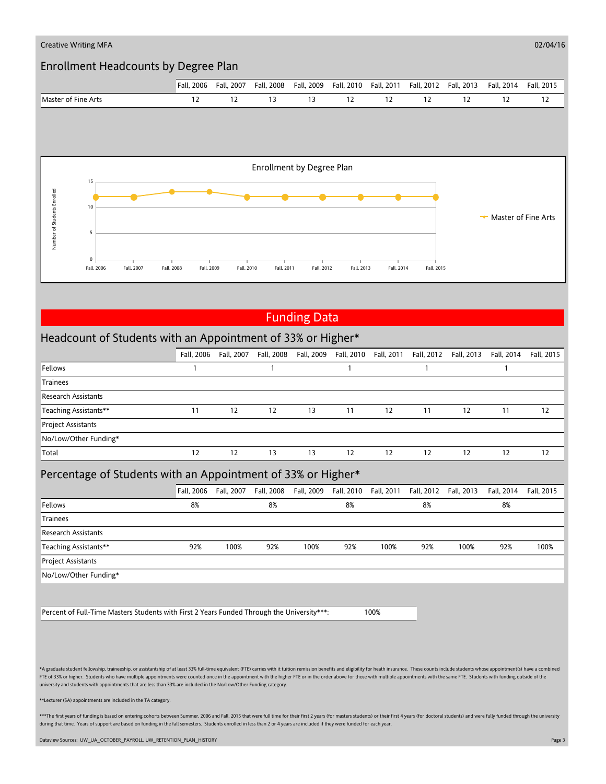

## Funding Data

## Headcount of Students with an Appointment of 33% or Higher\*

|                            | Fall. 2006 | Fall. 2007 | Fall, 2008 |    |    |    | Fall, 2009 Fall, 2010 Fall, 2011 Fall, 2012 Fall, 2013 |    | Fall, 2014 | Fall, 2015 |
|----------------------------|------------|------------|------------|----|----|----|--------------------------------------------------------|----|------------|------------|
| Fellows                    |            |            |            |    |    |    |                                                        |    |            |            |
| Trainees                   |            |            |            |    |    |    |                                                        |    |            |            |
| <b>Research Assistants</b> |            |            |            |    |    |    |                                                        |    |            |            |
| Teaching Assistants**      | 11         | 12         | 12         | 13 | 11 | 12 | 11                                                     | 12 | 11         | 12         |
| <b>Project Assistants</b>  |            |            |            |    |    |    |                                                        |    |            |            |
| No/Low/Other Funding*      |            |            |            |    |    |    |                                                        |    |            |            |
| Total                      | 12         | 12         | 13         | 13 | 12 | 12 | 12                                                     | 12 | 12         | 12         |

#### Percentage of Students with an Appointment of 33% or Higher\*

|                            | Fall. 2006 | Fall, 2007 | Fall, 2008 |      |     | Fall, 2009 Fall, 2010 Fall, 2011 |     | Fall, 2012    Fall, 2013 | Fall, 2014 | Fall, 2015 |
|----------------------------|------------|------------|------------|------|-----|----------------------------------|-----|--------------------------|------------|------------|
| Fellows                    | 8%         |            | 8%         |      | 8%  |                                  | 8%  |                          | 8%         |            |
| <b>Trainees</b>            |            |            |            |      |     |                                  |     |                          |            |            |
| <b>Research Assistants</b> |            |            |            |      |     |                                  |     |                          |            |            |
| Teaching Assistants**      | 92%        | 100%       | 92%        | 100% | 92% | 100%                             | 92% | 100%                     | 92%        | 100%       |
| <b>Project Assistants</b>  |            |            |            |      |     |                                  |     |                          |            |            |
| No/Low/Other Funding*      |            |            |            |      |     |                                  |     |                          |            |            |

Percent of Full-Time Masters Students with First 2 Years Funded Through the University\*\*\*: 100%

\*A graduate student fellowship, traineeship, or assistantship of at least 33% full-time equivalent (FTE) carries with it tuition remission benefits and eligibility for heath insurance. These counts include students whose a FTE of 33% or higher. Students who have multiple appointments were counted once in the appointment with the higher FTE or in the order above for those with multiple appointments with the same FTE. Students with funding out university and students with appointments that are less than 33% are included in the No/Low/Other Funding category.

\*\*Lecturer (SA) appointments are included in the TA category.

\*\*\*The first years of funding is based on entering cohorts between Summer, 2006 and Fall, 2015 that were full time for their first 2 years (for masters students) or their first 4 years (for doctoral students) and were full during that time. Years of support are based on funding in the fall semesters. Students enrolled in less than 2 or 4 years are included if they were funded for each year

Dataview Sources: UW\_UA\_OCTOBER\_PAYROLL, UW\_RETENTION\_PLAN\_HISTORY